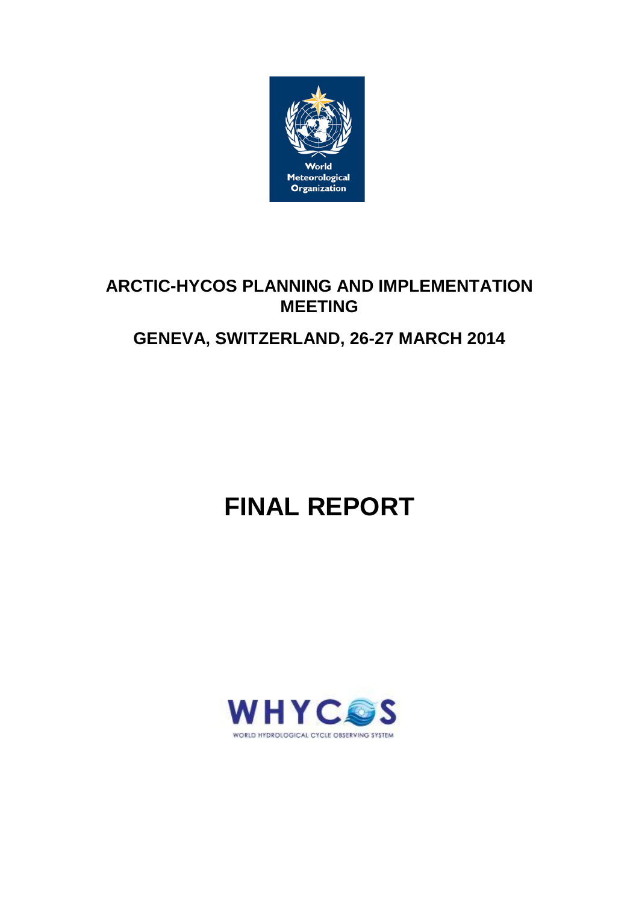

# **ARCTIC-HYCOS PLANNING AND IMPLEMENTATION MEETING**

# **GENEVA, SWITZERLAND, 26-27 MARCH 2014**

# **FINAL REPORT**

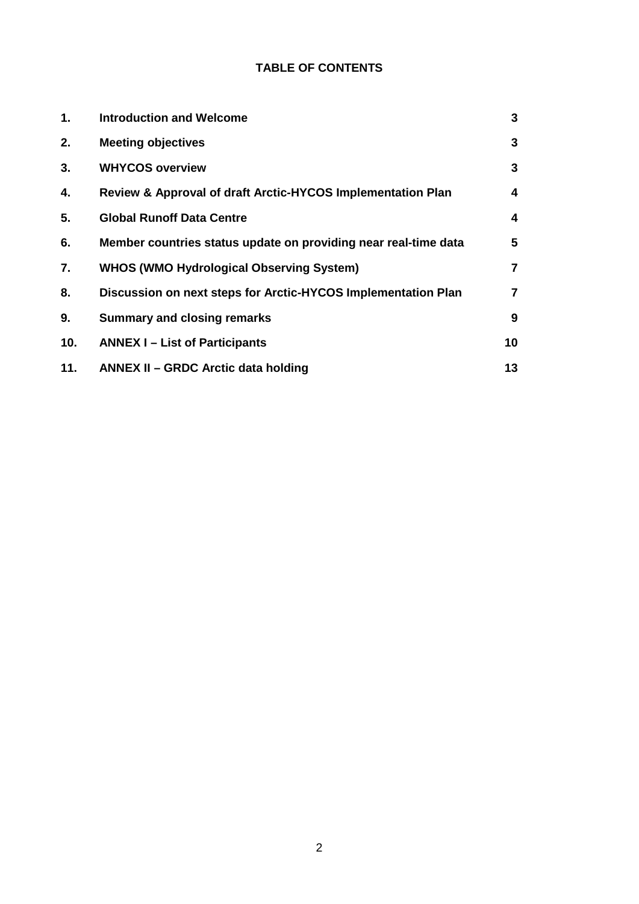# **TABLE OF CONTENTS**

| 1.  | <b>Introduction and Welcome</b>                                 | 3                       |
|-----|-----------------------------------------------------------------|-------------------------|
| 2.  | <b>Meeting objectives</b>                                       | 3                       |
| 3.  | <b>WHYCOS overview</b>                                          | 3                       |
| 4.  | Review & Approval of draft Arctic-HYCOS Implementation Plan     | 4                       |
| 5.  | <b>Global Runoff Data Centre</b>                                | 4                       |
| 6.  | Member countries status update on providing near real-time data | 5                       |
| 7.  | <b>WHOS (WMO Hydrological Observing System)</b>                 | $\overline{\mathbf{r}}$ |
| 8.  | Discussion on next steps for Arctic-HYCOS Implementation Plan   | $\overline{\mathbf{r}}$ |
| 9.  | <b>Summary and closing remarks</b>                              | 9                       |
| 10. | <b>ANNEX I-List of Participants</b>                             | 10                      |
| 11. | <b>ANNEX II - GRDC Arctic data holding</b>                      | 13                      |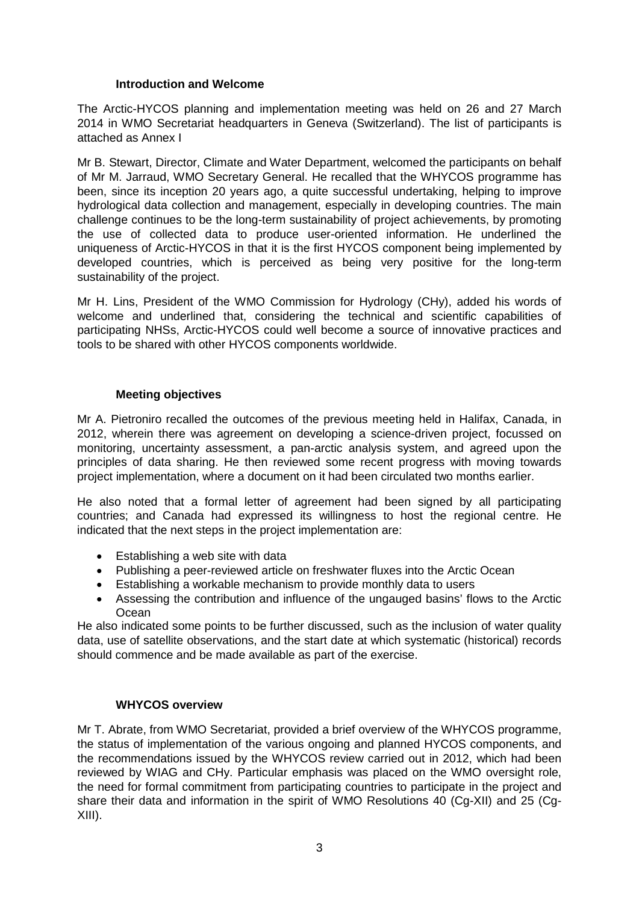# **Introduction and Welcome**

The Arctic-HYCOS planning and implementation meeting was held on 26 and 27 March 2014 in WMO Secretariat headquarters in Geneva (Switzerland). The list of participants is attached as Annex I

Mr B. Stewart, Director, Climate and Water Department, welcomed the participants on behalf of Mr M. Jarraud, WMO Secretary General. He recalled that the WHYCOS programme has been, since its inception 20 years ago, a quite successful undertaking, helping to improve hydrological data collection and management, especially in developing countries. The main challenge continues to be the long-term sustainability of project achievements, by promoting the use of collected data to produce user-oriented information. He underlined the uniqueness of Arctic-HYCOS in that it is the first HYCOS component being implemented by developed countries, which is perceived as being very positive for the long-term sustainability of the project.

Mr H. Lins, President of the WMO Commission for Hydrology (CHy), added his words of welcome and underlined that, considering the technical and scientific capabilities of participating NHSs, Arctic-HYCOS could well become a source of innovative practices and tools to be shared with other HYCOS components worldwide.

### **Meeting objectives**

Mr A. Pietroniro recalled the outcomes of the previous meeting held in Halifax, Canada, in 2012, wherein there was agreement on developing a science-driven project, focussed on monitoring, uncertainty assessment, a pan-arctic analysis system, and agreed upon the principles of data sharing. He then reviewed some recent progress with moving towards project implementation, where a document on it had been circulated two months earlier.

He also noted that a formal letter of agreement had been signed by all participating countries; and Canada had expressed its willingness to host the regional centre. He indicated that the next steps in the project implementation are:

- Establishing a web site with data
- Publishing a peer-reviewed article on freshwater fluxes into the Arctic Ocean
- Establishing a workable mechanism to provide monthly data to users
- Assessing the contribution and influence of the ungauged basins' flows to the Arctic **Ocean**

He also indicated some points to be further discussed, such as the inclusion of water quality data, use of satellite observations, and the start date at which systematic (historical) records should commence and be made available as part of the exercise.

# **WHYCOS overview**

Mr T. Abrate, from WMO Secretariat, provided a brief overview of the WHYCOS programme, the status of implementation of the various ongoing and planned HYCOS components, and the recommendations issued by the WHYCOS review carried out in 2012, which had been reviewed by WIAG and CHy. Particular emphasis was placed on the WMO oversight role, the need for formal commitment from participating countries to participate in the project and share their data and information in the spirit of WMO Resolutions 40 (Cg-XII) and 25 (Cg-XIII).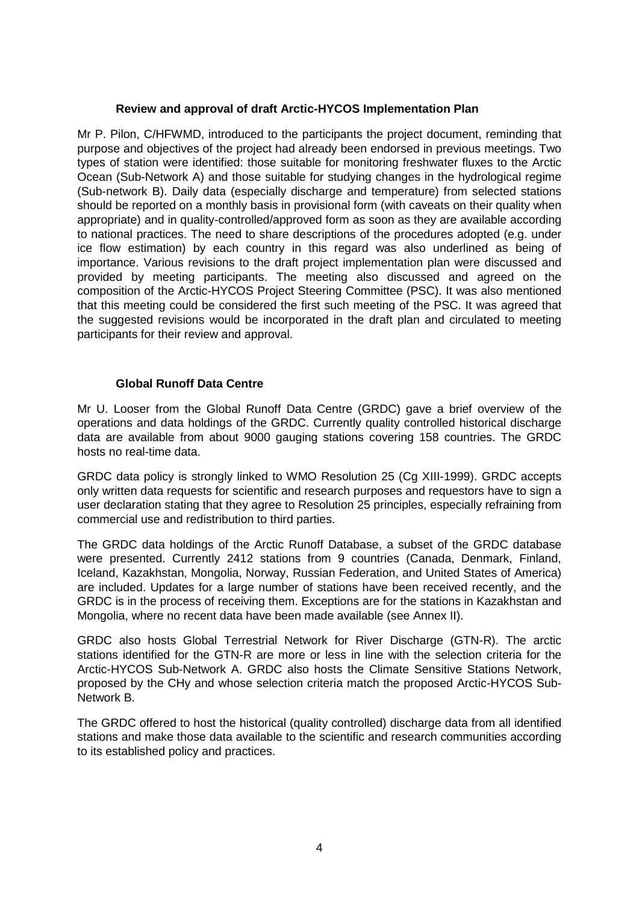# **Review and approval of draft Arctic-HYCOS Implementation Plan**

Mr P. Pilon, C/HFWMD, introduced to the participants the project document, reminding that purpose and objectives of the project had already been endorsed in previous meetings. Two types of station were identified: those suitable for monitoring freshwater fluxes to the Arctic Ocean (Sub-Network A) and those suitable for studying changes in the hydrological regime (Sub-network B). Daily data (especially discharge and temperature) from selected stations should be reported on a monthly basis in provisional form (with caveats on their quality when appropriate) and in quality-controlled/approved form as soon as they are available according to national practices. The need to share descriptions of the procedures adopted (e.g. under ice flow estimation) by each country in this regard was also underlined as being of importance. Various revisions to the draft project implementation plan were discussed and provided by meeting participants. The meeting also discussed and agreed on the composition of the Arctic-HYCOS Project Steering Committee (PSC). It was also mentioned that this meeting could be considered the first such meeting of the PSC. It was agreed that the suggested revisions would be incorporated in the draft plan and circulated to meeting participants for their review and approval.

# **Global Runoff Data Centre**

Mr U. Looser from the Global Runoff Data Centre (GRDC) gave a brief overview of the operations and data holdings of the GRDC. Currently quality controlled historical discharge data are available from about 9000 gauging stations covering 158 countries. The GRDC hosts no real-time data.

GRDC data policy is strongly linked to WMO Resolution 25 (Cg XIII-1999). GRDC accepts only written data requests for scientific and research purposes and requestors have to sign a user declaration stating that they agree to Resolution 25 principles, especially refraining from commercial use and redistribution to third parties.

The GRDC data holdings of the Arctic Runoff Database, a subset of the GRDC database were presented. Currently 2412 stations from 9 countries (Canada, Denmark, Finland, Iceland, Kazakhstan, Mongolia, Norway, Russian Federation, and United States of America) are included. Updates for a large number of stations have been received recently, and the GRDC is in the process of receiving them. Exceptions are for the stations in Kazakhstan and Mongolia, where no recent data have been made available (see Annex II).

GRDC also hosts Global Terrestrial Network for River Discharge (GTN-R). The arctic stations identified for the GTN-R are more or less in line with the selection criteria for the Arctic-HYCOS Sub-Network A. GRDC also hosts the Climate Sensitive Stations Network, proposed by the CHy and whose selection criteria match the proposed Arctic-HYCOS Sub-Network B.

The GRDC offered to host the historical (quality controlled) discharge data from all identified stations and make those data available to the scientific and research communities according to its established policy and practices.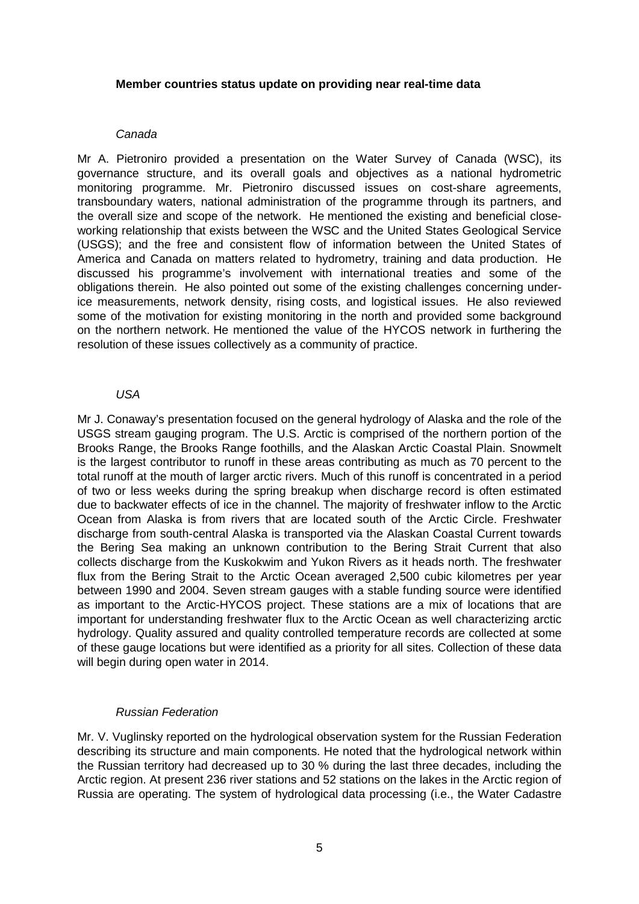#### **Member countries status update on providing near real-time data**

# *Canada*

Mr A. Pietroniro provided a presentation on the Water Survey of Canada (WSC), its governance structure, and its overall goals and objectives as a national hydrometric monitoring programme. Mr. Pietroniro discussed issues on cost-share agreements, transboundary waters, national administration of the programme through its partners, and the overall size and scope of the network. He mentioned the existing and beneficial closeworking relationship that exists between the WSC and the United States Geological Service (USGS); and the free and consistent flow of information between the United States of America and Canada on matters related to hydrometry, training and data production. He discussed his programme's involvement with international treaties and some of the obligations therein. He also pointed out some of the existing challenges concerning underice measurements, network density, rising costs, and logistical issues. He also reviewed some of the motivation for existing monitoring in the north and provided some background on the northern network. He mentioned the value of the HYCOS network in furthering the resolution of these issues collectively as a community of practice.

# *USA*

Mr J. Conaway's presentation focused on the general hydrology of Alaska and the role of the USGS stream gauging program. The U.S. Arctic is comprised of the northern portion of the Brooks Range, the Brooks Range foothills, and the Alaskan Arctic Coastal Plain. Snowmelt is the largest contributor to runoff in these areas contributing as much as 70 percent to the total runoff at the mouth of larger arctic rivers. Much of this runoff is concentrated in a period of two or less weeks during the spring breakup when discharge record is often estimated due to backwater effects of ice in the channel. The majority of freshwater inflow to the Arctic Ocean from Alaska is from rivers that are located south of the Arctic Circle. Freshwater discharge from south-central Alaska is transported via the Alaskan Coastal Current towards the Bering Sea making an unknown contribution to the Bering Strait Current that also collects discharge from the Kuskokwim and Yukon Rivers as it heads north. The freshwater flux from the Bering Strait to the Arctic Ocean averaged 2,500 cubic kilometres per year between 1990 and 2004. Seven stream gauges with a stable funding source were identified as important to the Arctic-HYCOS project. These stations are a mix of locations that are important for understanding freshwater flux to the Arctic Ocean as well characterizing arctic hydrology. Quality assured and quality controlled temperature records are collected at some of these gauge locations but were identified as a priority for all sites. Collection of these data will begin during open water in 2014.

# *Russian Federation*

Mr. V. Vuglinsky reported on the hydrological observation system for the Russian Federation describing its structure and main components. He noted that the hydrological network within the Russian territory had decreased up to 30 % during the last three decades, including the Arctic region. At present 236 river stations and 52 stations on the lakes in the Arctic region of Russia are operating. The system of hydrological data processing (i.e., the Water Cadastre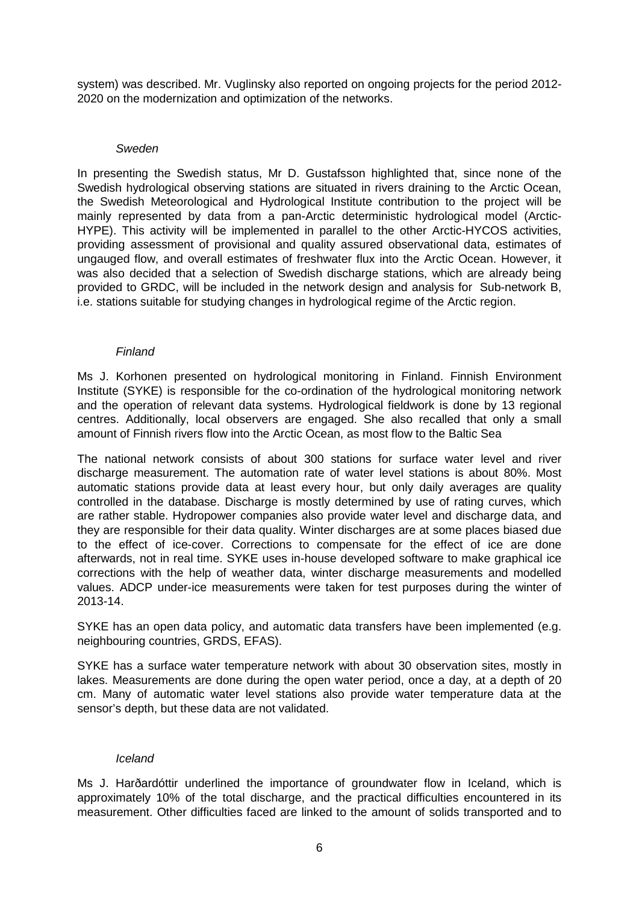system) was described. Mr. Vuglinsky also reported on ongoing projects for the period 2012- 2020 on the modernization and optimization of the networks.

# *Sweden*

In presenting the Swedish status, Mr D. Gustafsson highlighted that, since none of the Swedish hydrological observing stations are situated in rivers draining to the Arctic Ocean, the Swedish Meteorological and Hydrological Institute contribution to the project will be mainly represented by data from a pan-Arctic deterministic hydrological model (Arctic-HYPE). This activity will be implemented in parallel to the other Arctic-HYCOS activities, providing assessment of provisional and quality assured observational data, estimates of ungauged flow, and overall estimates of freshwater flux into the Arctic Ocean. However, it was also decided that a selection of Swedish discharge stations, which are already being provided to GRDC, will be included in the network design and analysis for Sub-network B, i.e. stations suitable for studying changes in hydrological regime of the Arctic region.

### *Finland*

Ms J. Korhonen presented on hydrological monitoring in Finland. Finnish Environment Institute (SYKE) is responsible for the co-ordination of the hydrological monitoring network and the operation of relevant data systems. Hydrological fieldwork is done by 13 regional centres. Additionally, local observers are engaged. She also recalled that only a small amount of Finnish rivers flow into the Arctic Ocean, as most flow to the Baltic Sea

The national network consists of about 300 stations for surface water level and river discharge measurement. The automation rate of water level stations is about 80%. Most automatic stations provide data at least every hour, but only daily averages are quality controlled in the database. Discharge is mostly determined by use of rating curves, which are rather stable. Hydropower companies also provide water level and discharge data, and they are responsible for their data quality. Winter discharges are at some places biased due to the effect of ice-cover. Corrections to compensate for the effect of ice are done afterwards, not in real time. SYKE uses in-house developed software to make graphical ice corrections with the help of weather data, winter discharge measurements and modelled values. ADCP under-ice measurements were taken for test purposes during the winter of 2013-14.

SYKE has an open data policy, and automatic data transfers have been implemented (e.g. neighbouring countries, GRDS, EFAS).

SYKE has a surface water temperature network with about 30 observation sites, mostly in lakes. Measurements are done during the open water period, once a day, at a depth of 20 cm. Many of automatic water level stations also provide water temperature data at the sensor's depth, but these data are not validated.

# *Iceland*

Ms J. Harðardóttir underlined the importance of groundwater flow in Iceland, which is approximately 10% of the total discharge, and the practical difficulties encountered in its measurement. Other difficulties faced are linked to the amount of solids transported and to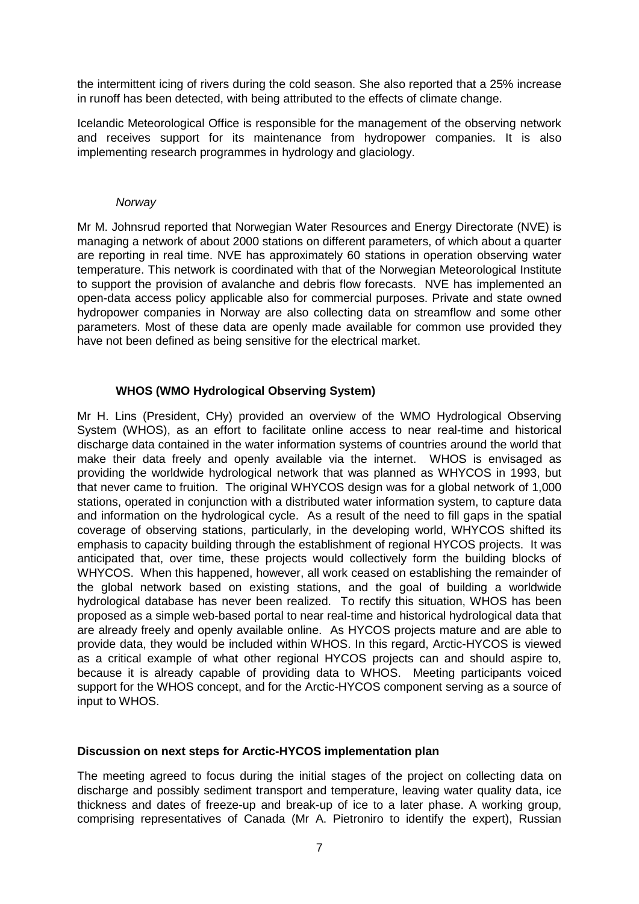the intermittent icing of rivers during the cold season. She also reported that a 25% increase in runoff has been detected, with being attributed to the effects of climate change.

Icelandic Meteorological Office is responsible for the management of the observing network and receives support for its maintenance from hydropower companies. It is also implementing research programmes in hydrology and glaciology.

### *Norway*

Mr M. Johnsrud reported that Norwegian Water Resources and Energy Directorate (NVE) is managing a network of about 2000 stations on different parameters, of which about a quarter are reporting in real time. NVE has approximately 60 stations in operation observing water temperature. This network is coordinated with that of the Norwegian Meteorological Institute to support the provision of avalanche and debris flow forecasts. NVE has implemented an open-data access policy applicable also for commercial purposes. Private and state owned hydropower companies in Norway are also collecting data on streamflow and some other parameters. Most of these data are openly made available for common use provided they have not been defined as being sensitive for the electrical market.

# **WHOS (WMO Hydrological Observing System)**

Mr H. Lins (President, CHy) provided an overview of the WMO Hydrological Observing System (WHOS), as an effort to facilitate online access to near real-time and historical discharge data contained in the water information systems of countries around the world that make their data freely and openly available via the internet. WHOS is envisaged as providing the worldwide hydrological network that was planned as WHYCOS in 1993, but that never came to fruition. The original WHYCOS design was for a global network of 1,000 stations, operated in conjunction with a distributed water information system, to capture data and information on the hydrological cycle. As a result of the need to fill gaps in the spatial coverage of observing stations, particularly, in the developing world, WHYCOS shifted its emphasis to capacity building through the establishment of regional HYCOS projects. It was anticipated that, over time, these projects would collectively form the building blocks of WHYCOS. When this happened, however, all work ceased on establishing the remainder of the global network based on existing stations, and the goal of building a worldwide hydrological database has never been realized. To rectify this situation, WHOS has been proposed as a simple web-based portal to near real-time and historical hydrological data that are already freely and openly available online. As HYCOS projects mature and are able to provide data, they would be included within WHOS. In this regard, Arctic-HYCOS is viewed as a critical example of what other regional HYCOS projects can and should aspire to, because it is already capable of providing data to WHOS. Meeting participants voiced support for the WHOS concept, and for the Arctic-HYCOS component serving as a source of input to WHOS.

# **Discussion on next steps for Arctic-HYCOS implementation plan**

The meeting agreed to focus during the initial stages of the project on collecting data on discharge and possibly sediment transport and temperature, leaving water quality data, ice thickness and dates of freeze-up and break-up of ice to a later phase. A working group, comprising representatives of Canada (Mr A. Pietroniro to identify the expert), Russian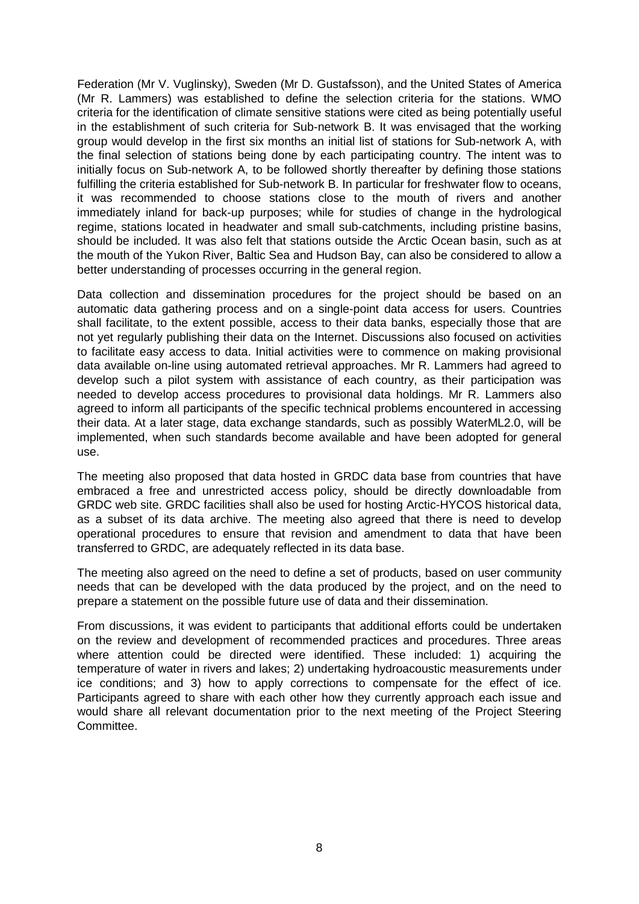Federation (Mr V. Vuglinsky), Sweden (Mr D. Gustafsson), and the United States of America (Mr R. Lammers) was established to define the selection criteria for the stations. WMO criteria for the identification of climate sensitive stations were cited as being potentially useful in the establishment of such criteria for Sub-network B. It was envisaged that the working group would develop in the first six months an initial list of stations for Sub-network A, with the final selection of stations being done by each participating country. The intent was to initially focus on Sub-network A, to be followed shortly thereafter by defining those stations fulfilling the criteria established for Sub-network B. In particular for freshwater flow to oceans, it was recommended to choose stations close to the mouth of rivers and another immediately inland for back-up purposes; while for studies of change in the hydrological regime, stations located in headwater and small sub-catchments, including pristine basins, should be included. It was also felt that stations outside the Arctic Ocean basin, such as at the mouth of the Yukon River, Baltic Sea and Hudson Bay, can also be considered to allow a better understanding of processes occurring in the general region.

Data collection and dissemination procedures for the project should be based on an automatic data gathering process and on a single-point data access for users. Countries shall facilitate, to the extent possible, access to their data banks, especially those that are not yet regularly publishing their data on the Internet. Discussions also focused on activities to facilitate easy access to data. Initial activities were to commence on making provisional data available on-line using automated retrieval approaches. Mr R. Lammers had agreed to develop such a pilot system with assistance of each country, as their participation was needed to develop access procedures to provisional data holdings. Mr R. Lammers also agreed to inform all participants of the specific technical problems encountered in accessing their data. At a later stage, data exchange standards, such as possibly WaterML2.0, will be implemented, when such standards become available and have been adopted for general use.

The meeting also proposed that data hosted in GRDC data base from countries that have embraced a free and unrestricted access policy, should be directly downloadable from GRDC web site. GRDC facilities shall also be used for hosting Arctic-HYCOS historical data, as a subset of its data archive. The meeting also agreed that there is need to develop operational procedures to ensure that revision and amendment to data that have been transferred to GRDC, are adequately reflected in its data base.

The meeting also agreed on the need to define a set of products, based on user community needs that can be developed with the data produced by the project, and on the need to prepare a statement on the possible future use of data and their dissemination.

From discussions, it was evident to participants that additional efforts could be undertaken on the review and development of recommended practices and procedures. Three areas where attention could be directed were identified. These included: 1) acquiring the temperature of water in rivers and lakes; 2) undertaking hydroacoustic measurements under ice conditions; and 3) how to apply corrections to compensate for the effect of ice. Participants agreed to share with each other how they currently approach each issue and would share all relevant documentation prior to the next meeting of the Project Steering Committee.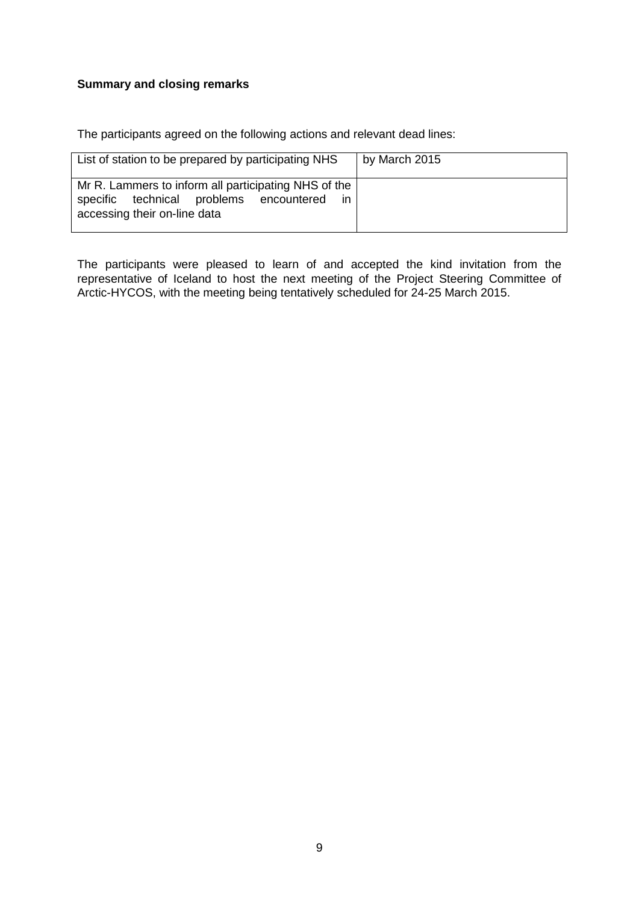# **Summary and closing remarks**

The participants agreed on the following actions and relevant dead lines:

| List of station to be prepared by participating NHS                                                                                    | by March 2015 |
|----------------------------------------------------------------------------------------------------------------------------------------|---------------|
| Mr R. Lammers to inform all participating NHS of the<br>specific technical problems encountered<br>-in<br>accessing their on-line data |               |

The participants were pleased to learn of and accepted the kind invitation from the representative of Iceland to host the next meeting of the Project Steering Committee of Arctic-HYCOS, with the meeting being tentatively scheduled for 24-25 March 2015.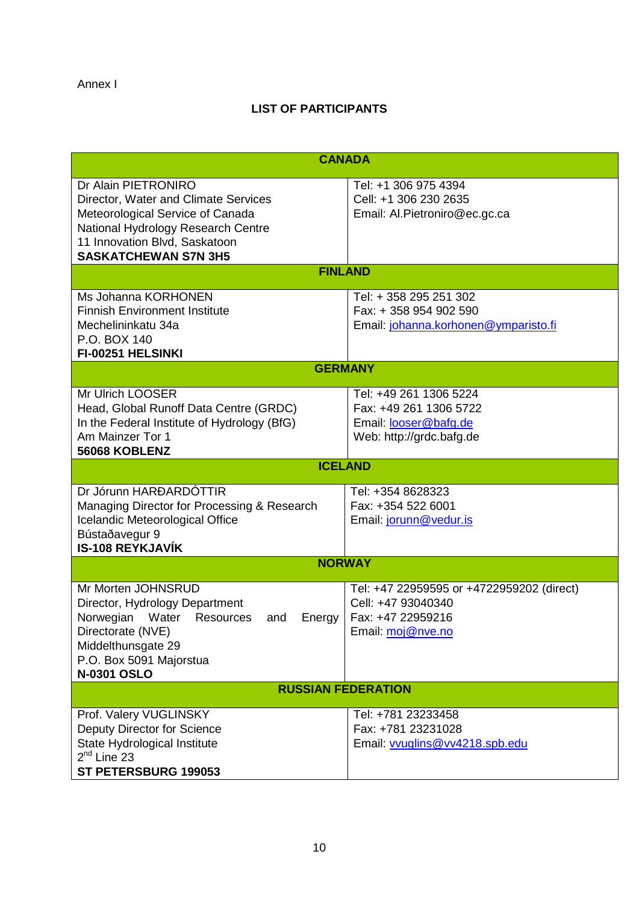# **LIST OF PARTICIPANTS**

| <b>CANADA</b>                                                                                                                                                                                         |                                                                                                           |  |  |  |  |
|-------------------------------------------------------------------------------------------------------------------------------------------------------------------------------------------------------|-----------------------------------------------------------------------------------------------------------|--|--|--|--|
| Dr Alain PIETRONIRO<br>Director, Water and Climate Services<br>Meteorological Service of Canada<br>National Hydrology Research Centre<br>11 Innovation Blvd, Saskatoon<br><b>SASKATCHEWAN S7N 3H5</b> | Tel: +1 306 975 4394<br>Cell: +1 306 230 2635<br>Email: Al.Pietroniro@ec.gc.ca                            |  |  |  |  |
| <b>FINLAND</b>                                                                                                                                                                                        |                                                                                                           |  |  |  |  |
| Ms Johanna KORHONEN<br><b>Finnish Environment Institute</b><br>Mechelininkatu 34a<br>P.O. BOX 140<br>FI-00251 HELSINKI                                                                                | Tel: + 358 295 251 302<br>Fax: +358 954 902 590<br>Email: johanna.korhonen@ymparisto.fi                   |  |  |  |  |
| <b>GERMANY</b>                                                                                                                                                                                        |                                                                                                           |  |  |  |  |
| Mr Ulrich LOOSER<br>Head, Global Runoff Data Centre (GRDC)<br>In the Federal Institute of Hydrology (BfG)<br>Am Mainzer Tor 1<br>56068 KOBLENZ                                                        | Tel: +49 261 1306 5224<br>Fax: +49 261 1306 5722<br>Email: looser@bafg.de<br>Web: http://grdc.bafg.de     |  |  |  |  |
| <b>ICELAND</b>                                                                                                                                                                                        |                                                                                                           |  |  |  |  |
| Dr Jórunn HARÐARDÓTTIR<br>Managing Director for Processing & Research<br>Icelandic Meteorological Office<br>Bústaðavegur 9<br><b>IS-108 REYKJAVÍK</b>                                                 | Tel: +354 8628323<br>Fax: +354 522 6001<br>Email: jorunn@vedur.is                                         |  |  |  |  |
| <b>NORWAY</b>                                                                                                                                                                                         |                                                                                                           |  |  |  |  |
| Mr Morten JOHNSRUD<br>Director, Hydrology Department<br>Norwegian Water Resources<br>and<br>Energy<br>Directorate (NVE)<br>Middelthunsgate 29<br>P.O. Box 5091 Majorstua<br><b>N-0301 OSLO</b>        | Tel: +47 22959595 or +4722959202 (direct)<br>Cell: +47 93040340<br>Fax: +47 22959216<br>Email: moj@nve.no |  |  |  |  |
| <b>RUSSIAN FEDERATION</b>                                                                                                                                                                             |                                                                                                           |  |  |  |  |
| Prof. Valery VUGLINSKY<br><b>Deputy Director for Science</b><br>State Hydrological Institute<br>$2nd$ Line 23<br>ST PETERSBURG 199053                                                                 | Tel: +781 23233458<br>Fax: +781 23231028<br>Email: vvuglins@vv4218.spb.edu                                |  |  |  |  |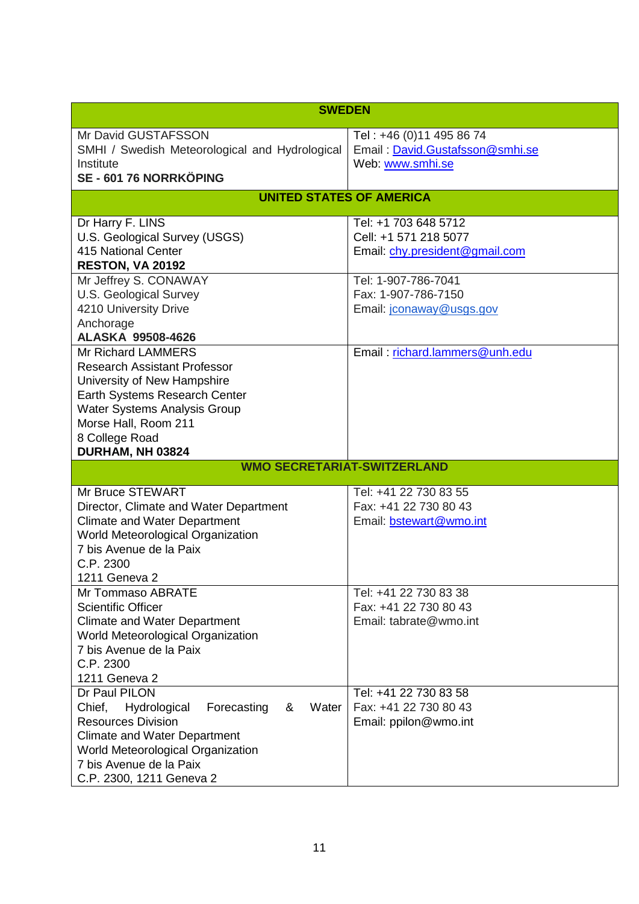| <b>SWEDEN</b>                                          |                                 |  |  |  |
|--------------------------------------------------------|---------------------------------|--|--|--|
| Mr David GUSTAFSSON                                    | Tel: +46 (0)11 495 86 74        |  |  |  |
| SMHI / Swedish Meteorological and Hydrological         | Email: David.Gustafsson@smhi.se |  |  |  |
| Institute                                              | Web: www.smhi.se                |  |  |  |
| SE - 601 76 NORRKÖPING                                 |                                 |  |  |  |
| <b>UNITED STATES OF AMERICA</b>                        |                                 |  |  |  |
| Dr Harry F. LINS                                       | Tel: +1 703 648 5712            |  |  |  |
| U.S. Geological Survey (USGS)                          | Cell: +1 571 218 5077           |  |  |  |
| 415 National Center                                    | Email: chy.president@gmail.com  |  |  |  |
| RESTON, VA 20192                                       |                                 |  |  |  |
| Mr Jeffrey S. CONAWAY                                  | Tel: 1-907-786-7041             |  |  |  |
| <b>U.S. Geological Survey</b><br>4210 University Drive | Fax: 1-907-786-7150             |  |  |  |
| Anchorage                                              | Email: jconaway@usgs.gov        |  |  |  |
| <b>ALASKA 99508-4626</b>                               |                                 |  |  |  |
| <b>Mr Richard LAMMERS</b>                              | Email: richard.lammers@unh.edu  |  |  |  |
| <b>Research Assistant Professor</b>                    |                                 |  |  |  |
| University of New Hampshire                            |                                 |  |  |  |
| Earth Systems Research Center                          |                                 |  |  |  |
| <b>Water Systems Analysis Group</b>                    |                                 |  |  |  |
| Morse Hall, Room 211                                   |                                 |  |  |  |
| 8 College Road                                         |                                 |  |  |  |
| DURHAM, NH 03824                                       |                                 |  |  |  |
| <b>WMO SECRETARIAT-SWITZERLAND</b>                     |                                 |  |  |  |
| Mr Bruce STEWART                                       | Tel: +41 22 730 83 55           |  |  |  |
| Director, Climate and Water Department                 | Fax: +41 22 730 80 43           |  |  |  |
| <b>Climate and Water Department</b>                    | Email: bstewart@wmo.int         |  |  |  |
| World Meteorological Organization                      |                                 |  |  |  |
| 7 bis Avenue de la Paix                                |                                 |  |  |  |
| C.P. 2300<br>1211 Geneva 2                             |                                 |  |  |  |
| Mr Tommaso ABRATE                                      | Tel: +41 22 730 83 38           |  |  |  |
| <b>Scientific Officer</b>                              | Fax: +41 22 730 80 43           |  |  |  |
| <b>Climate and Water Department</b>                    | Email: tabrate@wmo.int          |  |  |  |
| World Meteorological Organization                      |                                 |  |  |  |
| 7 bis Avenue de la Paix                                |                                 |  |  |  |
| C.P. 2300                                              |                                 |  |  |  |
| 1211 Geneva 2                                          |                                 |  |  |  |
| Dr Paul PILON                                          | Tel: +41 22 730 83 58           |  |  |  |
| Chief,<br>Water<br>Hydrological<br>Forecasting<br>&    | Fax: +41 22 730 80 43           |  |  |  |
| <b>Resources Division</b>                              | Email: ppilon@wmo.int           |  |  |  |
| <b>Climate and Water Department</b>                    |                                 |  |  |  |
| World Meteorological Organization                      |                                 |  |  |  |
| 7 bis Avenue de la Paix                                |                                 |  |  |  |
| C.P. 2300, 1211 Geneva 2                               |                                 |  |  |  |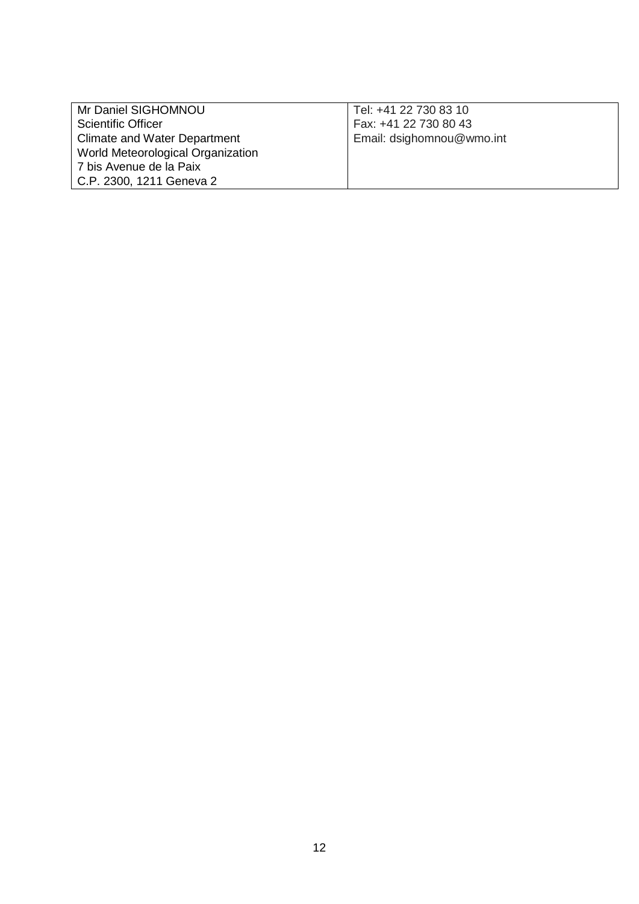| Mr Daniel SIGHOMNOU               | Tel: +41 22 730 83 10     |  |
|-----------------------------------|---------------------------|--|
| Scientific Officer                | Fax: +41 22 730 80 43     |  |
| Climate and Water Department      | Email: dsighomnou@wmo.int |  |
| World Meteorological Organization |                           |  |
| 7 bis Avenue de la Paix           |                           |  |
| C.P. 2300, 1211 Geneva 2          |                           |  |